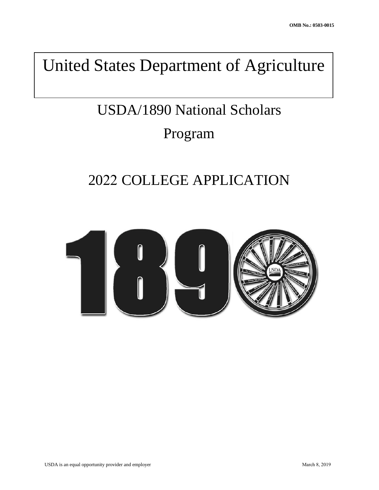## United States Department of Agriculture

# USDA/1890 National Scholars Program

## 2022 COLLEGE APPLICATION

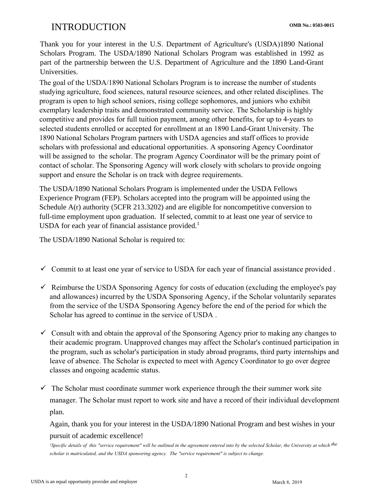## **OMB No.: 0503-0015** INTRODUCTION

Thank you for your interest in the U.S. Department of Agriculture's (USDA)1890 National Scholars Program. The USDA/1890 National Scholars Program was established in 1992 as part of the partnership between the U.S. Department of Agriculture and the 1890 Land-Grant Universities.

The goal of the USDA/1890 National Scholars Program is to increase the number of students studying agriculture, food sciences, natural resource sciences, and other related disciplines. The program is open to high school seniors, rising college sophomores, and juniors who exhibit exemplary leadership traits and demonstrated community service. The Scholarship is highly competitive and provides for full tuition payment, among other benefits, for up to 4-years to selected students enrolled or accepted for enrollment at an 1890 Land-Grant University. The 1890 National Scholars Program partners with USDA agencies and staff offices to provide scholars with professional and educational opportunities. A sponsoring Agency Coordinator will be assigned to the scholar. The program Agency Coordinator will be the primary point of contact of scholar. The Sponsoring Agency will work closely with scholars to provide ongoing support and ensure the Scholar is on track with degree requirements.

The USDA/1890 National Scholars Program is implemented under the USDA Fellows Experience Program (FEP). Scholars accepted into the program will be appointed using the Schedule A(r) authority (5CFR 213.3202) and are eligible for noncompetitive conversion to full-time employment upon graduation. If selected, commit to at least one year of service to USDA for each year of financial assistance provided.<sup>1</sup>

The USDA/1890 National Scholar is required to:

- $\checkmark$  Commit to at least one year of service to USDA for each year of financial assistance provided.
- $\checkmark$  Reimburse the USDA Sponsoring Agency for costs of education (excluding the employee's pay and allowances) incurred by the USDA Sponsoring Agency, if the Scholar voluntarily separates from the service of the USDA Sponsoring Agency before the end of the period for which the Scholar has agreed to continue in the service of USDA .
- $\checkmark$  Consult with and obtain the approval of the Sponsoring Agency prior to making any changes to their academic program. Unapproved changes may affect the Scholar's continued participation in the program, such as scholar's participation in study abroad programs, third party internships and leave of absence. The Scholar is expected to meet with Agency Coordinator to go over degree classes and ongoing academic status.
- $\checkmark$  The Scholar must coordinate summer work experience through the their summer work site manager. The Scholar must report to work site and have a record of their individual development plan.

Again, thank you for your interest in the USDA/1890 National Program and best wishes in your pursuit of academic excellence!

<sup>&</sup>lt;sup>1</sup>*Specific details of this "service requirement" will be outlined in the agreement entered into by the selected Scholar, the University at which <sup>the</sup> scholar is matriculated, and the USDA sponsoring agency. The "service requirement" is subject to change.*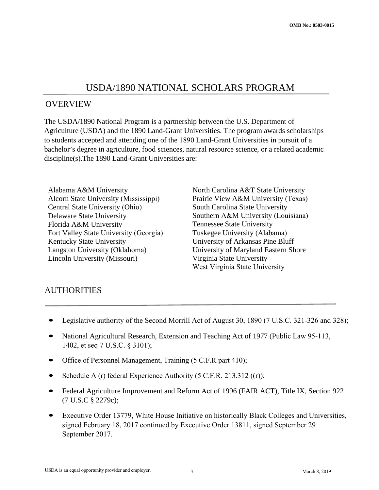## USDA/1890 NATIONAL SCHOLARS PROGRAM

#### OVERVIEW

The USDA/1890 National Program is a partnership between the U.S. Department of Agriculture (USDA) and the 1890 Land-Grant Universities. The program awards scholarships to students accepted and attending one of the 1890 Land-Grant Universities in pursuit of a bachelor's degree in agriculture, food sciences, natural resource science, or a related academic discipline(s).The 1890 Land-Grant Universities are:

Alabama A&M University North Carolina A&T State University Alcorn State University (Mississippi) Prairie View A&M University (Texas) Central State University (Ohio) South Carolina State University Delaware State University Southern A&M University (Louisiana) Florida A&M University Tennessee State University Fort Valley State University (Georgia) Tuskegee University (Alabama) Kentucky State University University University of Arkansas Pine Bluff Langston University (Oklahoma) University of Maryland Eastern Shore Lincoln University (Missouri) Virginia State University

West Virginia State University

## **AUTHORITIES**

- Legislative authority of the Second Morrill Act of August 30, 1890 (7 U.S.C. 321-326 and 328);
- National Agricultural Research, Extension and Teaching Act of 1977 (Public Law 95-113, 1402, et seq 7 U.S.C. § 3101);
- <sup>O</sup>ffice of Personnel Management, Training (5 C.F.R part 410);
- Schedule A (r) federal Experience Authority (5 C.F.R. 213.312 ((r));
- Federal Agriculture Improvement and Reform Act of 1996 (FAIR ACT), Title IX, Section 922 (7 U.S.C § 2279c);
- Executive Order 13779, White House Initiative on historically Black Colleges and Universities, signed February 18, 2017 continued by Executive Order 13811, signed September 29 September 2017.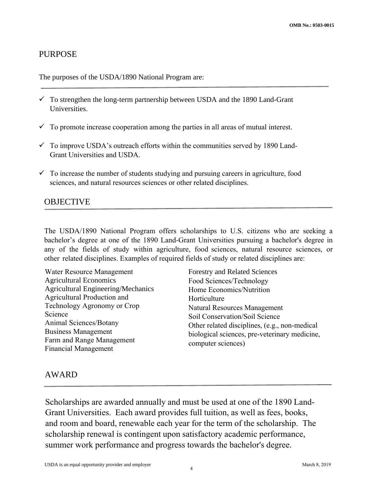#### PURPOSE

The purposes of the USDA/1890 National Program are:

- $\checkmark$  To strengthen the long-term partnership between USDA and the 1890 Land-Grant Universities.
- $\checkmark$  To promote increase cooperation among the parties in all areas of mutual interest.
- $\checkmark$  To improve USDA's outreach efforts within the communities served by 1890 Land-Grant Universities and USDA.
- $\checkmark$  To increase the number of students studying and pursuing careers in agriculture, food sciences, and natural resources sciences or other related disciplines.

### **OBJECTIVE**

The USDA/1890 National Program offers scholarships to U.S. citizens who are seeking a bachelor's degree at one of the 1890 Land-Grant Universities pursuing a bachelor's degree in any of the fields of study within agriculture, food sciences, natural resource sciences, or other related disciplines. Examples of required fields of study or related disciplines are:

Water Resource Management<br>
Agricultural Economics<br>
Forestry and Related Sciences<br>
Food Sciences/Technology Agricultural Engineering/Mechanics Home Economics/Nutrition Agricultural Production and Horticulture Technology Agronomy or Crop Natural Resources Management<br>Science Soil Conservation/Soil Science<br>Animal Sciences/Botany Other related disciplines (e.g. n

Food Sciences/Technology Animal Sciences/Botany<br>
Business Management biological sciences, pre-veterinary medicine,<br>
Farm and Range Management computer sciences)<br>
Financial Management

#### AWARD

 summer work performance and progress towards the bachelor's degree. Scholarships are awarded annually and must be used at one of the 1890 Land-Grant Universities. Each award provides full tuition, as well as fees, books, and room and board, renewable each year for the term of the scholarship. The scholarship renewal is contingent upon satisfactory academic performance,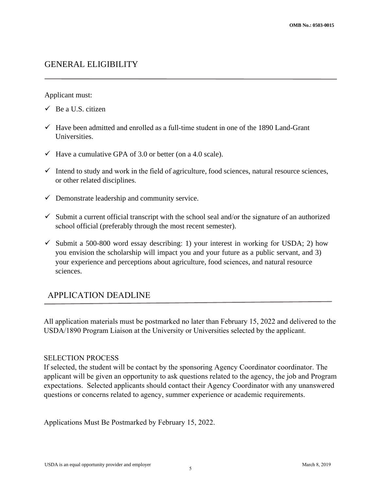#### GENERAL ELIGIBILITY

#### Applicant must:

- $\checkmark$  Be a U.S. citizen
- $\checkmark$  Have been admitted and enrolled as a full-time student in one of the 1890 Land-Grant Universities.
- $\checkmark$  Have a cumulative GPA of 3.0 or better (on a 4.0 scale).
- $\checkmark$  Intend to study and work in the field of agriculture, food sciences, natural resource sciences, or other related disciplines.
- $\checkmark$  Demonstrate leadership and community service.
- $\checkmark$  Submit a current official transcript with the school seal and/or the signature of an authorized school official (preferably through the most recent semester).
- $\checkmark$  Submit a 500-800 word essay describing: 1) your interest in working for USDA; 2) how you envision the scholarship will impact you and your future as a public servant, and 3) your experience and perceptions about agriculture, food sciences, and natural resource sciences.

### APPLICATION DEADLINE

 All application materials must be postmarked no later than February 15, 2022 and delivered to the USDA/1890 Program Liaison at the University or Universities selected by the applicant.

#### SELECTION PROCESS

If selected, the student will be contact by the sponsoring Agency Coordinator coordinator. The applicant will be given an opportunity to ask questions related to the agency, the job and Program expectations. Selected applicants should contact their Agency Coordinator with any unanswered questions or concerns related to agency, summer experience or academic requirements.

Applications Must Be Postmarked by February 15, 2022.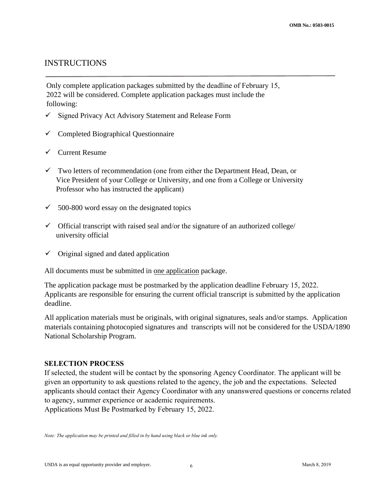#### INSTRUCTIONS

Only complete application packages submitted by the deadline of February 15, 2022 will be considered. Complete application packages must include the following:

- $\checkmark$  Signed Privacy Act Advisory Statement and Release Form
- $\checkmark$  Completed Biographical Questionnaire
- $\checkmark$  Current Resume
- $\checkmark$  Two letters of recommendation (one from either the Department Head, Dean, or Vice President of your College or University, and one from a College or University Professor who has instructed the applicant)
- $\checkmark$  500-800 word essay on the designated topics
- $\checkmark$  Official transcript with raised seal and/or the signature of an authorized college/ university official
- $\checkmark$  Original signed and dated application

All documents must be submitted in one application package.

The application package must be postmarked by the application deadline February 15, 2022. Applicants are responsible for ensuring the current official transcript is submitted by the application deadline.

All application materials must be originals, with original signatures, seals and/or stamps. Application materials containing photocopied signatures and transcripts will not be considered for the USDA/1890 National Scholarship Program.

#### **SELECTION PROCESS**

If selected, the student will be contact by the sponsoring Agency Coordinator. The applicant will be given an opportunity to ask questions related to the agency, the job and the expectations. Selected applicants should contact their Agency Coordinator with any unanswered questions or concerns related to agency, summer experience or academic requirements. Applications Must Be Postmarked by February 15, 2022.

*Note: The application may be printed and filled in by hand using black or blue ink only.*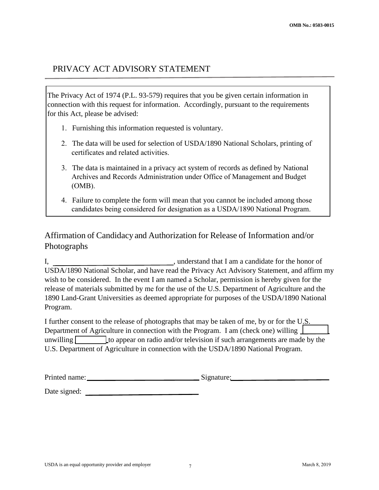## PRIVACY ACT ADVISORY STATEMENT

The Privacy Act of 1974 (P.L. 93-579) requires that you be given certain information in connection with this request for information. Accordingly, pursuant to the requirements for this Act, please be advised:

- 1. Furnishing this information requested is voluntary.
- 2. The data will be used for selection of USDA/1890 National Scholars, printing of certificates and related activities.
- Archives and Records Administration under Office of Management and Budget 3. The data is maintained in a privacy act system of records as defined by National (OMB).
- 4. Failure to complete the form will mean that you cannot be included among those candidates being considered for designation as a USDA/1890 National Program.

## Affirmation of Candidacy and Authorization for Release of Information and/or Photographs

I, understand that I am a candidate for the honor of USDA/1890 National Scholar, and have read the Privacy Act Advisory Statement, and affirm my wish to be considered. In the event I am named a Scholar, permission is hereby given for the release of materials submitted by me for the use of the U.S. Department of Agriculture and the 1890 Land-Grant Universities as deemed appropriate for purposes of the USDA/1890 National Program.

 Department of Agriculture in connection with the Program. I am (check one) willing I further consent to the release of photographs that may be taken of me, by or for the U.S. unwilling  $\Box$  to appear on radio and/or television if such arrangements are made by the U.S. Department of Agriculture in connection with the USDA/1890 National Program.

| Printed name: | Signature: |
|---------------|------------|
|---------------|------------|

Date signed: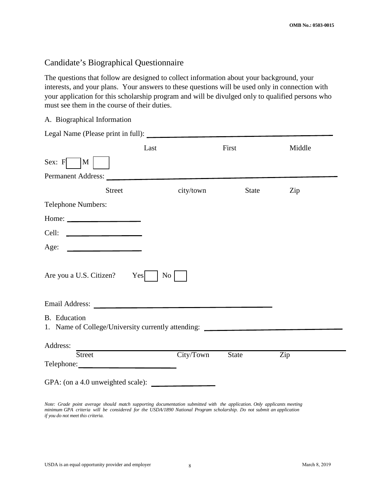#### Candidate's Biographical Questionnaire

The questions that follow are designed to collect information about your background, your interests, and your plans. Your answers to these questions will be used only in connection with your application for this scholarship program and will be divulged only to qualified persons who must see them in the course of their duties.

A. Biographical Information

Legal Name (Please print in full):

|                                                                                                                                                                                                                                                          | Last                   | First        | Middle |  |
|----------------------------------------------------------------------------------------------------------------------------------------------------------------------------------------------------------------------------------------------------------|------------------------|--------------|--------|--|
| Sex: F<br>M                                                                                                                                                                                                                                              |                        |              |        |  |
| Permanent Address:                                                                                                                                                                                                                                       |                        |              |        |  |
| <b>Street</b>                                                                                                                                                                                                                                            | city/town              | State        | Zip    |  |
| Telephone Numbers:                                                                                                                                                                                                                                       |                        |              |        |  |
| Home: $\qquad \qquad$                                                                                                                                                                                                                                    |                        |              |        |  |
| Cell:<br><u> Alexandria de la contenta de la con</u>                                                                                                                                                                                                     |                        |              |        |  |
| Age:<br><u> 1989 - Johann Barbara, martin a</u>                                                                                                                                                                                                          |                        |              |        |  |
| Are you a U.S. Citizen?<br>Email Address: The Communication of the Communication of the Communication of the Communication of the Communication of the Communication of the Communication of the Communication of the Communication of the Communication | Yes<br>No <sub>1</sub> |              |        |  |
| <b>B.</b> Education<br>1. Name of College/University currently attending: _____________________________                                                                                                                                                  |                        |              |        |  |
| Address:                                                                                                                                                                                                                                                 |                        |              |        |  |
| <b>Street</b>                                                                                                                                                                                                                                            | City/Town              | <b>State</b> | Zip    |  |
| GPA: (on a 4.0 unweighted scale): $\qquad \qquad$                                                                                                                                                                                                        |                        |              |        |  |

*Note: Grade point average should match supporting documentation submitted with the application. Only applicants meeting minimum GPA criteria will be considered for the USDA/1890 National Program scholarship. Do not submit an application if you do not meet this criteria.*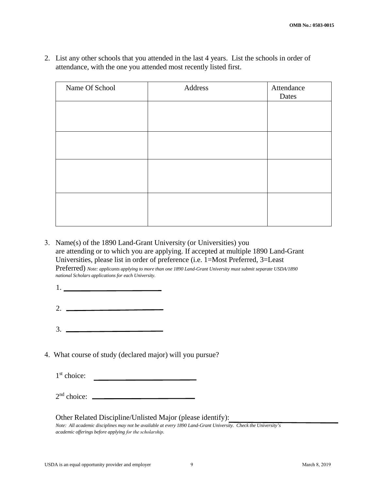2. List any other schools that you attended in the last 4 years. List the schools in order of attendance, with the one you attended most recently listed first.

| Name Of School | Address | Attendance<br>Dates |
|----------------|---------|---------------------|
|                |         |                     |
|                |         |                     |
|                |         |                     |
|                |         |                     |
|                |         |                     |
|                |         |                     |
|                |         |                     |

3. Name(s) of the 1890 Land-Grant University (or Universities) you are attending or to which you are applying. If accepted at multiple 1890 Land-Grant Universities, please list in order of preference (i.e. 1=Most Preferred, 3=Least

Preferred) *Note: applicants applying to more than one 1890 Land-Grant University must submit separate USDA/1890 national Scholars applications for each University.* 

- 1.
- 2.
- 3.
- 4. What course of study (declared major) will you pursue?

1st choice:

2nd choice:

#### Other Related Discipline/Unlisted Major (please identify):

*Note: All academic disciplines may not be available at every 1890 Land-Grant University. Check the University's academic offerings before applying for the scholarship.*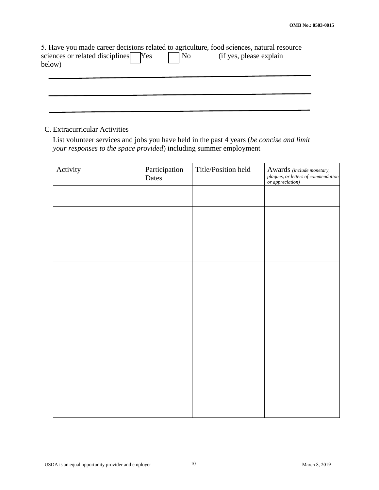|                                     |            | 5. Have you made career decisions related to agriculture, food sciences, natural resource |
|-------------------------------------|------------|-------------------------------------------------------------------------------------------|
| sciences or related disciplines Yes | $\vert$ No | (if yes, please explain)                                                                  |
| below)                              |            |                                                                                           |
|                                     |            |                                                                                           |

#### C. Extracurricular Activities

 List volunteer services and jobs you have held in the past 4 years (*be concise and limit your responses to the space provided*) including summer employment

| Activity | Participation<br>Dates | Title/Position held | Awards (include monetary,<br>plaques, or letters of commendation<br>or appreciation) |
|----------|------------------------|---------------------|--------------------------------------------------------------------------------------|
|          |                        |                     |                                                                                      |
|          |                        |                     |                                                                                      |
|          |                        |                     |                                                                                      |
|          |                        |                     |                                                                                      |
|          |                        |                     |                                                                                      |
|          |                        |                     |                                                                                      |
|          |                        |                     |                                                                                      |
|          |                        |                     |                                                                                      |
|          |                        |                     |                                                                                      |
|          |                        |                     |                                                                                      |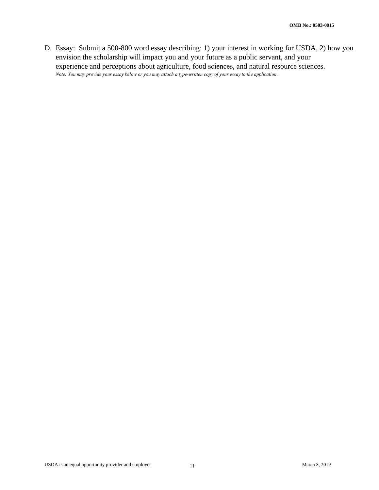D. Essay: Submit a 500-800 word essay describing: 1) your interest in working for USDA, 2) how you envision the scholarship will impact you and your future as a public servant, and your experience and perceptions about agriculture, food sciences, and natural resource sciences. *Note: You may provide your essay below or you may attach a type-written copy of your essay to the application.*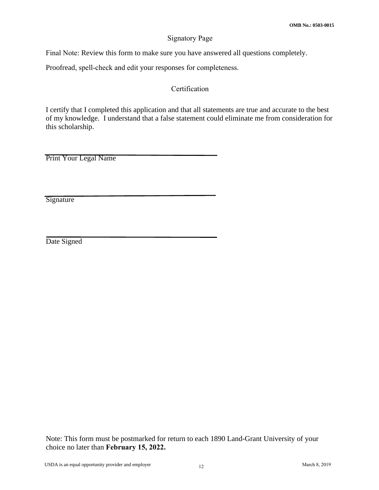#### Signatory Page

Final Note: Review this form to make sure you have answered all questions completely.

Proofread, spell-check and edit your responses for completeness.

#### Certification

I certify that I completed this application and that all statements are true and accurate to the best of my knowledge. I understand that a false statement could eliminate me from consideration for this scholarship.

Print Your Legal Name

**Signature** 

Date Signed

Note: This form must be postmarked for return to each 1890 Land-Grant University of your choice no later than **February 15, 2022.**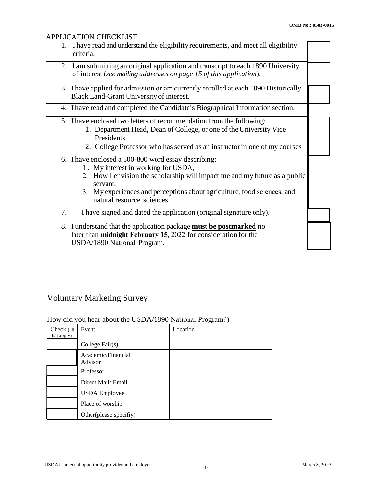#### APPLICATION CHECKLIST

| 1. | I have read and understand the eligibility requirements, and meet all eligibility<br>criteria.                                                                                                                                                                                                |  |
|----|-----------------------------------------------------------------------------------------------------------------------------------------------------------------------------------------------------------------------------------------------------------------------------------------------|--|
| 2. | I am submitting an original application and transcript to each 1890 University<br>of interest (see mailing addresses on page 15 of this application).                                                                                                                                         |  |
|    | 3. I have applied for admission or am currently enrolled at each 1890 Historically<br>Black Land-Grant University of interest.                                                                                                                                                                |  |
|    | 4. I have read and completed the Candidate's Biographical Information section.                                                                                                                                                                                                                |  |
|    | 5. If have enclosed two letters of recommendation from the following:<br>1. Department Head, Dean of College, or one of the University Vice<br>Presidents<br>2. College Professor who has served as an instructor in one of my courses                                                        |  |
|    | 6. I have enclosed a 500-800 word essay describing:<br>1. My interest in working for USDA,<br>2. How I envision the scholarship will impact me and my future as a public<br>servant,<br>3. My experiences and perceptions about agriculture, food sciences, and<br>natural resource sciences. |  |
| 7. | I have signed and dated the application (original signature only).                                                                                                                                                                                                                            |  |
|    | 8. I understand that the application package must be postmarked no<br>later than <b>midnight February 15,</b> 2022 for consideration for the<br>USDA/1890 National Program.                                                                                                                   |  |

## Voluntary Marketing Survey

#### How did you hear about the USDA/1890 National Program?)

| Check (all<br>that apply) | Event                         | Location |
|---------------------------|-------------------------------|----------|
|                           | College $Fair(s)$             |          |
|                           | Academic/Financial<br>Advisor |          |
|                           | Professor                     |          |
|                           | Direct Mail/ Email            |          |
|                           | <b>USDA</b> Employee          |          |
|                           | Place of worship              |          |
|                           | Other(please specifiy)        |          |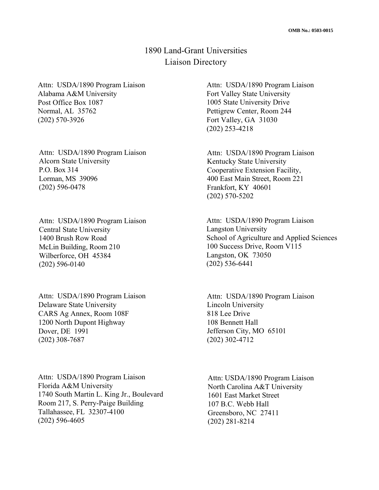## 1890 Land-Grant Universities Liaison Directory

 Normal, AL 35762 Attn: USDA/1890 Program Liaison Alabama A&M University Post Office Box 1087 (202) 570-3926

Attn: USDA/1890 Program Liaison Alcorn State University P.O. Box 314 Lorman, MS 39096 (202) 596-0478

 Attn: USDA/1890 Program Liaison Central State University 1400 Brush Row Road McLin Building, Room 210 Wilberforce, OH 45384 (202) 596-0140

 Attn: USDA/1890 Program Liaison Delaware State University CARS Ag Annex, Room 108F 1200 North Dupont Highway Dover, DE 1991 (202) 308-7687

 1740 South Martin L. King Jr., Boulevard Attn: USDA/1890 Program Liaison Florida A&M University Room 217, S. Perry-Paige Building Tallahassee, FL 32307-4100 (202) 596-4605

 Attn: USDA/1890 Program Liaison Fort Valley State University 1005 State University Drive Fort Valley, GA 31030 Pettigrew Center, Room 244 (202) 253-4218

 400 East Main Street, Room 221 Frankfort, KY 40601 Attn: USDA/1890 Program Liaison Kentucky State University Cooperative Extension Facility, (202) 570-5202

 100 Success Drive, Room V115 Langston, OK 73050 Attn: USDA/1890 Program Liaison Langston University School of Agriculture and Applied Sciences (202) 536-6441

 818 Lee Drive Jefferson City, MO 65101 Attn: USDA/1890 Program Liaison Lincoln University 108 Bennett Hall (202) 302-4712

 Attn: USDA/1890 Program Liaison 107 B.C. Webb Hall North Carolina A&T University 1601 East Market Street Greensboro, NC 27411 (202) 281-8214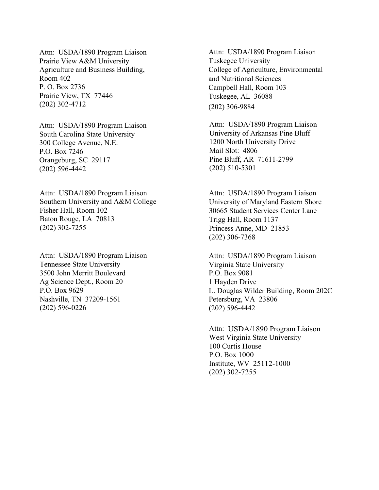Attn: USDA/1890 Program Liaison Prairie View A&M University Prairie View, TX 77446 Agriculture and Business Building, Room 402 P. O. Box 2736 (202) 302-4712

 Attn: USDA/1890 Program Liaison South Carolina State University P.O. Box 7246 300 College Avenue, N.E. Orangeburg, SC 29117 (202) 596-4442

 Fisher Hall, Room 102 Baton Rouge, LA 70813 Attn: USDA/1890 Program Liaison Southern University and A&M College (202) 302-7255

 Attn: USDA/1890 Program Liaison Tennessee State University 3500 John Merritt Boulevard P.O. Box 9629 Nashville, TN 37209-1561 Ag Science Dept., Room 20 (202) 596-0226

 Attn: USDA/1890 Program Liaison College of Agriculture, Environmental Tuskegee University and Nutritional Sciences Campbell Hall, Room 103 Tuskegee, AL 36088 (202) 306-9884

 Attn: USDA/1890 Program Liaison University of Arkansas Pine Bluff 1200 North University Drive Pine Bluff, AR 71611-2799 Mail Slot: 4806 (202) 510-5301

 University of Maryland Eastern Shore Princess Anne, MD 21853 Attn: USDA/1890 Program Liaison 30665 Student Services Center Lane Trigg Hall, Room 1137 (202) 306-7368

 Attn: USDA/1890 Program Liaison Virginia State University L. Douglas Wilder Building, Room 202C Petersburg, VA 23806 P.O. Box 9081 1 Hayden Drive (202) 596-4442

 Attn: USDA/1890 Program Liaison West Virginia State University 100 Curtis House P.O. Box 1000 Institute, WV 25112-1000 (202) 302-7255